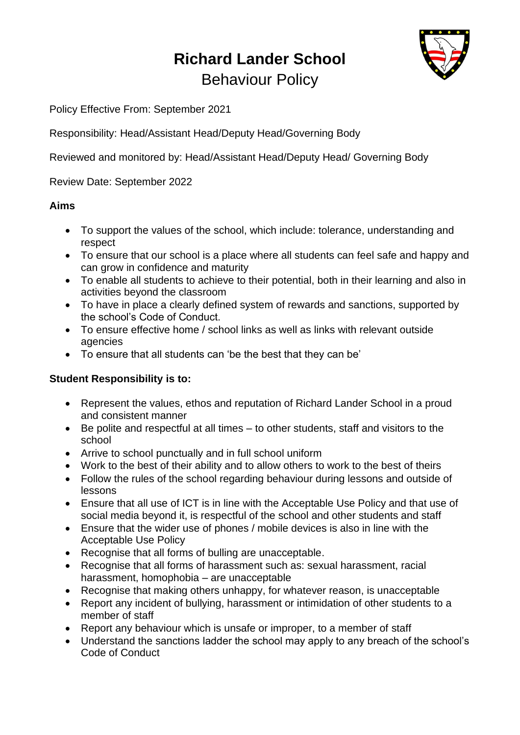# **Richard Lander School** Behaviour Policy



Policy Effective From: September 2021

Responsibility: Head/Assistant Head/Deputy Head/Governing Body

Reviewed and monitored by: Head/Assistant Head/Deputy Head/ Governing Body

Review Date: September 2022

# **Aims**

- To support the values of the school, which include: tolerance, understanding and respect
- To ensure that our school is a place where all students can feel safe and happy and can grow in confidence and maturity
- To enable all students to achieve to their potential, both in their learning and also in activities beyond the classroom
- To have in place a clearly defined system of rewards and sanctions, supported by the school's Code of Conduct.
- To ensure effective home / school links as well as links with relevant outside agencies
- To ensure that all students can 'be the best that they can be'

# **Student Responsibility is to:**

- Represent the values, ethos and reputation of Richard Lander School in a proud and consistent manner
- Be polite and respectful at all times to other students, staff and visitors to the school
- Arrive to school punctually and in full school uniform
- Work to the best of their ability and to allow others to work to the best of theirs
- Follow the rules of the school regarding behaviour during lessons and outside of lessons
- Ensure that all use of ICT is in line with the Acceptable Use Policy and that use of social media beyond it, is respectful of the school and other students and staff
- Ensure that the wider use of phones / mobile devices is also in line with the Acceptable Use Policy
- Recognise that all forms of bulling are unacceptable.
- Recognise that all forms of harassment such as: sexual harassment, racial harassment, homophobia – are unacceptable
- Recognise that making others unhappy, for whatever reason, is unacceptable
- Report any incident of bullying, harassment or intimidation of other students to a member of staff
- Report any behaviour which is unsafe or improper, to a member of staff
- Understand the sanctions ladder the school may apply to any breach of the school's Code of Conduct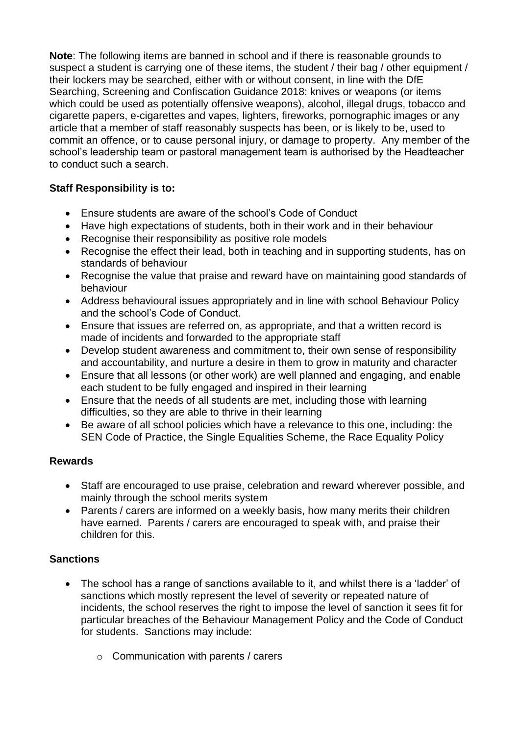**Note**: The following items are banned in school and if there is reasonable grounds to suspect a student is carrying one of these items, the student / their bag / other equipment / their lockers may be searched, either with or without consent, in line with the DfE Searching, Screening and Confiscation Guidance 2018: knives or weapons (or items which could be used as potentially offensive weapons), alcohol, illegal drugs, tobacco and cigarette papers, e-cigarettes and vapes, lighters, fireworks, pornographic images or any article that a member of staff reasonably suspects has been, or is likely to be, used to commit an offence, or to cause personal injury, or damage to property. Any member of the school's leadership team or pastoral management team is authorised by the Headteacher to conduct such a search.

# **Staff Responsibility is to:**

- Ensure students are aware of the school's Code of Conduct
- Have high expectations of students, both in their work and in their behaviour
- Recognise their responsibility as positive role models
- Recognise the effect their lead, both in teaching and in supporting students, has on standards of behaviour
- Recognise the value that praise and reward have on maintaining good standards of behaviour
- Address behavioural issues appropriately and in line with school Behaviour Policy and the school's Code of Conduct.
- Ensure that issues are referred on, as appropriate, and that a written record is made of incidents and forwarded to the appropriate staff
- Develop student awareness and commitment to, their own sense of responsibility and accountability, and nurture a desire in them to grow in maturity and character
- Ensure that all lessons (or other work) are well planned and engaging, and enable each student to be fully engaged and inspired in their learning
- Ensure that the needs of all students are met, including those with learning difficulties, so they are able to thrive in their learning
- Be aware of all school policies which have a relevance to this one, including: the SEN Code of Practice, the Single Equalities Scheme, the Race Equality Policy

# **Rewards**

- Staff are encouraged to use praise, celebration and reward wherever possible, and mainly through the school merits system
- Parents / carers are informed on a weekly basis, how many merits their children have earned. Parents / carers are encouraged to speak with, and praise their children for this.

# **Sanctions**

- The school has a range of sanctions available to it, and whilst there is a 'ladder' of sanctions which mostly represent the level of severity or repeated nature of incidents, the school reserves the right to impose the level of sanction it sees fit for particular breaches of the Behaviour Management Policy and the Code of Conduct for students. Sanctions may include:
	- o Communication with parents / carers